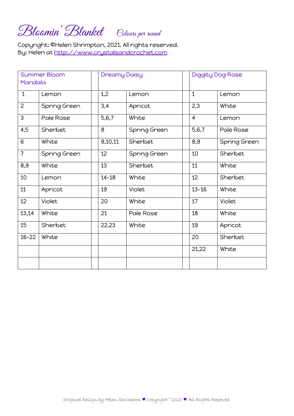## Bloomin Blanket Colours per round

Copyright: ©Helen Shrimpton, 2021. All rights reserved. By: Helen at [http://www.crystalsandcrochet.com](http://www.crystalsandcrochet.com/)

| <b>Summer Bloom</b> |              | <b>Dreamy Daisy</b> |              | Diggity Dog Rose |              |  |
|---------------------|--------------|---------------------|--------------|------------------|--------------|--|
| Mandala             |              |                     |              |                  |              |  |
| $\mathbf{1}$        | Lemon        | 1,2                 | Lemon        | $\mathbf{1}$     | Lemon        |  |
| $\overline{2}$      | Spring Green | 3,4                 | Apricot      | 2,3              | White        |  |
| 3                   | Pale Rose    | 5,6,7               | White        | $\overline{4}$   | Lemon        |  |
| 4,5                 | Sherbet      | 8                   | Spring Green | 5,6,7            | Pale Rose    |  |
| 6                   | White        | 9,10,11             | Sherbet      | 8,9              | Spring Green |  |
| $\overline{7}$      | Spring Green | 12                  | Spring Green | 10               | Sherbet      |  |
| 8,9                 | White        | 13                  | Sherbet      | 11               | White        |  |
| 10                  | Lemon        | $14 - 18$           | White        | 12               | Sherbet      |  |
| 11                  | Apricot      | 19                  | Violet       | $13 - 16$        | White        |  |
| 12 <sup>2</sup>     | Violet       | 20                  | White        | 17               | Violet       |  |
| 13,14               | White        | 21                  | Pale Rose    | 18               | White        |  |
| 15                  | Sherbet      | 22,23               | White        | 19               | Apricot      |  |
| $16 - 22$           | White        |                     |              | 20               | Sherbet      |  |
|                     |              |                     |              | 21,22            | White        |  |
|                     |              |                     |              |                  |              |  |